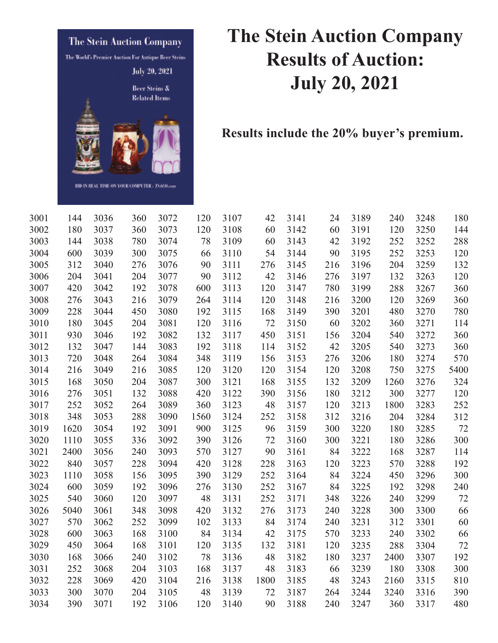

## **The Stein Auction Company Results of Auction: July 20, 2021**

**Results include the 20% buyer's premium.** 

| 144  | 3036                                     | 360                                                                  | 3072                                          | 120                                                                          | 3107                                       | 42                                                           | 3141                                                          | 24                           | 3189                                        | 240                                                                  | 3248                     | 180                                                                                          |
|------|------------------------------------------|----------------------------------------------------------------------|-----------------------------------------------|------------------------------------------------------------------------------|--------------------------------------------|--------------------------------------------------------------|---------------------------------------------------------------|------------------------------|---------------------------------------------|----------------------------------------------------------------------|--------------------------|----------------------------------------------------------------------------------------------|
| 180  | 3037                                     | 360                                                                  | 3073                                          | 120                                                                          | 3108                                       | 60                                                           | 3142                                                          | 60                           | 3191                                        | 120                                                                  | 3250                     | 144                                                                                          |
| 144  | 3038                                     | 780                                                                  | 3074                                          | 78                                                                           | 3109                                       | 60                                                           | 3143                                                          | 42                           | 3192                                        | 252                                                                  | 3252                     | 288                                                                                          |
| 600  | 3039                                     | 300                                                                  | 3075                                          | 66                                                                           | 3110                                       | 54                                                           | 3144                                                          | 90                           | 3195                                        | 252                                                                  |                          | 120                                                                                          |
| 312  | 3040                                     | 276                                                                  | 3076                                          | 90                                                                           | 3111                                       | 276                                                          | 3145                                                          | 216                          | 3196                                        | 204                                                                  | 3259                     | 132                                                                                          |
| 204  | 3041                                     | 204                                                                  | 3077                                          | 90                                                                           | 3112                                       | 42                                                           | 3146                                                          | 276                          | 3197                                        | 132                                                                  | 3263                     | 120                                                                                          |
| 420  | 3042                                     | 192                                                                  | 3078                                          | 600                                                                          | 3113                                       | 120                                                          | 3147                                                          | 780                          | 3199                                        | 288                                                                  | 3267                     | 360                                                                                          |
| 276  | 3043                                     | 216                                                                  | 3079                                          | 264                                                                          | 3114                                       | 120                                                          | 3148                                                          | 216                          | 3200                                        | 120                                                                  | 3269                     | 360                                                                                          |
| 228  | 3044                                     | 450                                                                  | 3080                                          | 192                                                                          | 3115                                       | 168                                                          | 3149                                                          | 390                          | 3201                                        | 480                                                                  | 3270                     | 780                                                                                          |
| 180  |                                          | 204                                                                  |                                               | 120                                                                          | 3116                                       | 72                                                           | 3150                                                          | 60                           |                                             | 360                                                                  |                          | 114                                                                                          |
| 930  | 3046                                     | 192                                                                  | 3082                                          | 132                                                                          | 3117                                       | 450                                                          | 3151                                                          | 156                          | 3204                                        | 540                                                                  | 3272                     | 360                                                                                          |
| 132  | 3047                                     | 144                                                                  | 3083                                          | 192                                                                          | 3118                                       | 114                                                          | 3152                                                          |                              | 3205                                        | 540                                                                  | 3273                     | 360                                                                                          |
| 720  | 3048                                     | 264                                                                  | 3084                                          | 348                                                                          | 3119                                       | 156                                                          | 3153                                                          | 276                          | 3206                                        | 180                                                                  | 3274                     | 570                                                                                          |
| 216  |                                          | 216                                                                  |                                               | 120                                                                          | 3120                                       | 120                                                          | 3154                                                          | 120                          | 3208                                        | 750                                                                  |                          | 5400                                                                                         |
| 168  | 3050                                     | 204                                                                  | 3087                                          | 300                                                                          | 3121                                       | 168                                                          | 3155                                                          | 132                          | 3209                                        | 1260                                                                 | 3276                     | 324                                                                                          |
|      |                                          |                                                                      |                                               |                                                                              |                                            |                                                              | 3156                                                          |                              |                                             |                                                                      |                          | 120                                                                                          |
| 252  | 3052                                     | 264                                                                  | 3089                                          | 360                                                                          | 3123                                       | 48                                                           | 3157                                                          | 120                          | 3213                                        | 1800                                                                 | 3283                     | 252                                                                                          |
| 348  | 3053                                     | 288                                                                  | 3090                                          | 1560                                                                         | 3124                                       | 252                                                          | 3158                                                          | 312                          | 3216                                        | 204                                                                  | 3284                     | 312                                                                                          |
|      |                                          |                                                                      |                                               |                                                                              |                                            |                                                              |                                                               |                              |                                             |                                                                      |                          | 72                                                                                           |
| 1110 |                                          | 336                                                                  |                                               | 390                                                                          |                                            |                                                              | 3160                                                          | 300                          |                                             | 180                                                                  |                          | 300                                                                                          |
|      |                                          |                                                                      |                                               |                                                                              |                                            |                                                              |                                                               |                              |                                             |                                                                      |                          | 114                                                                                          |
| 840  |                                          |                                                                      |                                               | 420                                                                          |                                            |                                                              | 3163                                                          | 120                          |                                             | 570                                                                  |                          | 192                                                                                          |
| 1110 | 3058                                     | 156                                                                  | 3095                                          | 390                                                                          | 3129                                       | 252                                                          | 3164                                                          | 84                           | 3224                                        | 450                                                                  | 3296                     | 300                                                                                          |
| 600  | 3059                                     | 192                                                                  | 3096                                          | 276                                                                          | 3130                                       |                                                              | 3167                                                          | 84                           | 3225                                        | 192                                                                  |                          | 240                                                                                          |
|      |                                          |                                                                      |                                               |                                                                              |                                            |                                                              |                                                               |                              |                                             | 240                                                                  |                          | 72                                                                                           |
| 5040 | 3061                                     | 348                                                                  |                                               | 420                                                                          |                                            |                                                              | 3173                                                          | 240                          |                                             | 300                                                                  |                          | 66                                                                                           |
|      |                                          |                                                                      |                                               |                                                                              |                                            |                                                              |                                                               |                              |                                             |                                                                      |                          | 60                                                                                           |
|      | 3063                                     |                                                                      | 3100                                          |                                                                              | 3134                                       |                                                              | 3175                                                          |                              | 3233                                        | 240                                                                  | 3302                     | 66                                                                                           |
| 450  | 3064                                     | 168                                                                  | 3101                                          | 120                                                                          | 3135                                       | 132                                                          | 3181                                                          | 120                          | 3235                                        | 288                                                                  | 3304                     | 72                                                                                           |
| 168  | 3066                                     | 240                                                                  | 3102                                          |                                                                              | 3136                                       | 48                                                           | 3182                                                          | 180                          | 3237                                        | 2400                                                                 | 3307                     | 192                                                                                          |
| 252  | 3068                                     | 204                                                                  | 3103                                          | 168                                                                          | 3137                                       | 48                                                           | 3183                                                          | 66                           | 3239                                        | 180                                                                  | 3308                     | 300                                                                                          |
| 228  | 3069                                     | 420                                                                  | 3104                                          | 216                                                                          | 3138                                       | 1800                                                         | 3185                                                          | 48                           | 3243                                        | 2160                                                                 | 3315                     | 810                                                                                          |
| 300  | 3070                                     | 204                                                                  | 3105                                          | 48                                                                           | 3139                                       | 72                                                           | 3187                                                          | 264                          | 3244                                        | 3240                                                                 | 3316                     | 390                                                                                          |
| 390  | 3071                                     | 192                                                                  | 3106                                          | 120                                                                          | 3140                                       | 90                                                           | 3188                                                          | 240                          | 3247                                        | 360                                                                  | 3317                     | 480                                                                                          |
|      | 276<br>1620<br>2400<br>540<br>570<br>600 | 3045<br>3049<br>3051<br>3054<br>3055<br>3056<br>3057<br>3060<br>3062 | 132<br>192<br>240<br>228<br>120<br>252<br>168 | 3081<br>3085<br>3088<br>3091<br>3092<br>3093<br>3094<br>3097<br>3098<br>3099 | 420<br>900<br>570<br>48<br>102<br>84<br>78 | 3122<br>3125<br>3126<br>3127<br>3128<br>3131<br>3132<br>3133 | 390<br>96<br>72<br>90<br>228<br>252<br>252<br>276<br>84<br>42 | 3159<br>3161<br>3171<br>3174 | 42<br>180<br>300<br>84<br>348<br>240<br>570 | 3202<br>3212<br>3220<br>3221<br>3222<br>3223<br>3226<br>3228<br>3231 | 300<br>180<br>168<br>312 | 3253<br>3271<br>3275<br>3277<br>3285<br>3286<br>3287<br>3288<br>3298<br>3299<br>3300<br>3301 |